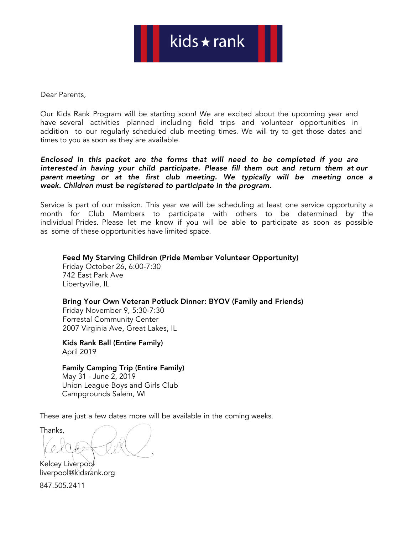Dear Parents,

Our Kids Rank Program will be starting soon! We are excited about the upcoming year and have several activities planned including field trips and volunteer opportunities in addition to our regularly scheduled club meeting times. We will try to get those dates and times to you as soon as they are available.

Enclosed in this packet are the forms that will need to be completed if you are interested in having your child participate. Please fill them out and return them at our parent meeting or at the first club meeting. We typically will be meeting once a week. Children must be registered to participate in the program.

Service is part of our mission. This year we will be scheduling at least one service opportunity a month for Club Members to participate with others to be determined by the individual Prides. Please let me know if you will be able to participate as soon as possible as some of these opportunities have limited space.

Feed My Starving Children (Pride Member Volunteer Opportunity) Friday October 26, 6:00-7:30 742 East Park Ave Libertyville, IL

### Bring Your Own Veteran Potluck Dinner: BYOV (Family and Friends)

Friday November 9, 5:30-7:30 Forrestal Community Center 2007 Virginia Ave, Great Lakes, IL

Kids Rank Ball (Entire Family) April 2019

Family Camping Trip (Entire Family) May 31 - June 2, 2019

Union League Boys and Girls Club Campgrounds Salem, WI

These are just a few dates more will be available in the coming weeks.

Thanks,

Kelcey Liverpool liverpool@kidsrank.org

847.505.2411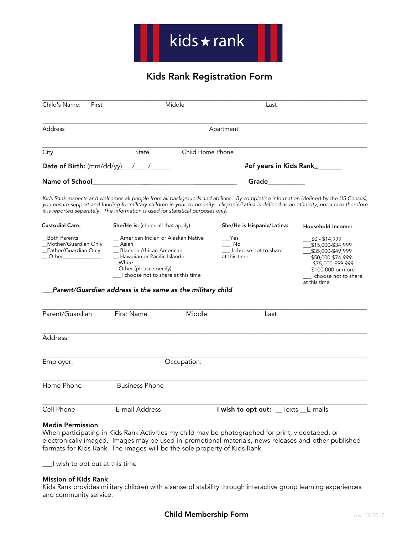H

## Kids Rank Registration Form

| Child's Name:<br>First                                                                         | Middle                                                                                                                                                                                                                                                                                                                                                                | Last                                                                                      |                                                                                                                                                                  |  |
|------------------------------------------------------------------------------------------------|-----------------------------------------------------------------------------------------------------------------------------------------------------------------------------------------------------------------------------------------------------------------------------------------------------------------------------------------------------------------------|-------------------------------------------------------------------------------------------|------------------------------------------------------------------------------------------------------------------------------------------------------------------|--|
| <b>Address</b>                                                                                 | Apartment                                                                                                                                                                                                                                                                                                                                                             |                                                                                           |                                                                                                                                                                  |  |
| City                                                                                           | State                                                                                                                                                                                                                                                                                                                                                                 | Child Home Phone                                                                          |                                                                                                                                                                  |  |
|                                                                                                |                                                                                                                                                                                                                                                                                                                                                                       | #of years in Kids Rank_______                                                             |                                                                                                                                                                  |  |
|                                                                                                |                                                                                                                                                                                                                                                                                                                                                                       |                                                                                           |                                                                                                                                                                  |  |
|                                                                                                | Kids Rank respects and welcomes all people from all backgrounds and abilities. By completing information (defined by the US Census),<br>you ensure support and funding for military children in your community. Hispanic/Latina is defined as an ethnicity, not a race therefore<br>it is reported separately. The information is used for statistical purposes only. |                                                                                           |                                                                                                                                                                  |  |
| <b>Custodial Care:</b>                                                                         | She/He is: (check all that apply)                                                                                                                                                                                                                                                                                                                                     | She/He is Hispanic/Latina:                                                                | Household Income:                                                                                                                                                |  |
| <b>Both Parents</b><br>Mother/Guardian Only<br>_Father/Guardian Only<br>__ Other______________ | __ American Indian or Alaskan Native<br>$-$ Asian<br>_ Black or African American<br>_ Hawaiian or Pacific Islander<br>__White<br>_Other (please specify)______________<br>I choose not to share at this time                                                                                                                                                          | $\mathsf{\_}$ Yes<br>$\overline{\phantom{0}}$ No<br>I choose not to share<br>at this time | $$0 - $14,999$<br>\$15,000-\$34,999<br>\$35,000-\$49,999<br>\$50,000-\$74,999<br>\$75,000-\$99,999<br>\$100,000 or more<br>I choose not to share<br>at this time |  |
|                                                                                                | Parent/Guardian address is the same as the military child                                                                                                                                                                                                                                                                                                             |                                                                                           |                                                                                                                                                                  |  |
| Parent/Guardian                                                                                | First Name<br>Middle                                                                                                                                                                                                                                                                                                                                                  | Last                                                                                      |                                                                                                                                                                  |  |
| Address:                                                                                       |                                                                                                                                                                                                                                                                                                                                                                       |                                                                                           |                                                                                                                                                                  |  |
| Employer:                                                                                      | Occupation:                                                                                                                                                                                                                                                                                                                                                           |                                                                                           |                                                                                                                                                                  |  |
| Home Phone                                                                                     | <b>Business Phone</b>                                                                                                                                                                                                                                                                                                                                                 |                                                                                           |                                                                                                                                                                  |  |
| Cell Phone                                                                                     | E-mail Address                                                                                                                                                                                                                                                                                                                                                        | I wish to opt out: __Texts __E-mails                                                      |                                                                                                                                                                  |  |

### Media Permission

When participating in Kids Rank Activities my child may be photographed for print, videotaped, or electronically imaged. Images may be used in promotional materials, news releases and other published formats for Kids Rank. The images will be the sole property of Kids Rank.

\_\_\_I wish to opt out at this time

#### Mission of Kids Rank

Kids Rank provides military children with a sense of stability through interactive group learning experiences and community service.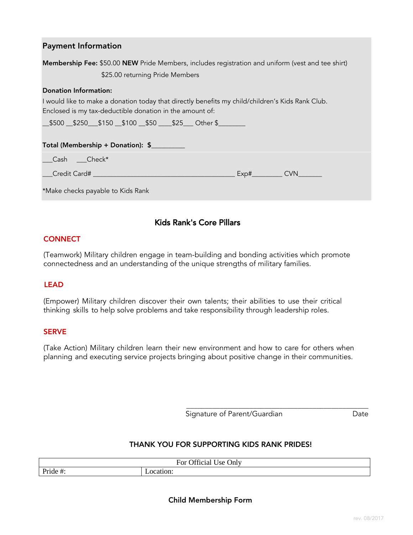| <b>Payment Information</b>                                                                        |
|---------------------------------------------------------------------------------------------------|
| Membership Fee: \$50.00 NEW Pride Members, includes registration and uniform (vest and tee shirt) |
| \$25.00 returning Pride Members                                                                   |
| <b>Donation Information:</b>                                                                      |
| I would like to make a donation today that directly benefits my child/children's Kids Rank Club.  |
| Enclosed is my tax-deductible donation in the amount of:                                          |
| __\$500 __\$250 __\$150 __\$100 __\$50 ____\$25 ___ Other \$ _______                              |
|                                                                                                   |
| Total (Membership + Donation): \$                                                                 |
| _Cash ___Check*                                                                                   |
|                                                                                                   |
| *Make checks payable to Kids Rank                                                                 |

### Kids Rank's Core Pillars

### **CONNECT**

(Teamwork) Military children engage in team-building and bonding activities which promote connectedness and an understanding of the unique strengths of military families.

### LEAD

(Empower) Military children discover their own talents; their abilities to use their critical thinking skills to help solve problems and take responsibility through leadership roles.

### **SERVE**

(Take Action) Military children learn their new environment and how to care for others when planning and executing service projects bringing about positive change in their communities.

> \_\_\_\_\_\_\_\_\_\_\_\_\_\_\_\_\_\_\_\_\_\_\_\_\_\_\_\_\_\_\_\_\_\_\_\_\_\_\_\_\_\_\_\_\_\_\_\_\_ Signature of Parent/Guardian Date

### THANK YOU FOR SUPPORTING KIDS RANK PRIDES!

| $\sim$<br><b>Jnly</b><br>ror<br>Jtticial<br>$\bigcup$ se $\prime$ |         |  |  |
|-------------------------------------------------------------------|---------|--|--|
| Pride                                                             | :atıon: |  |  |
| $\pi$ .                                                           | ഹ       |  |  |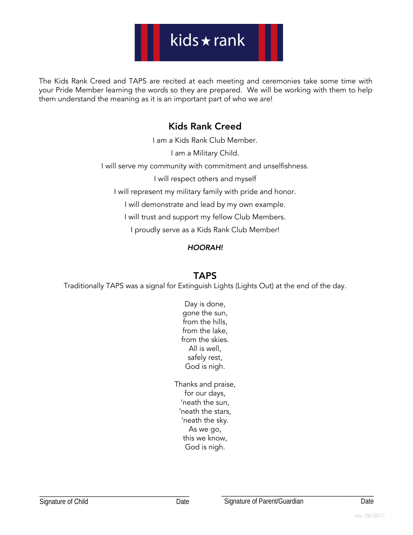# kids  $\star$  rank

The Kids Rank Creed and TAPS are recited at each meeting and ceremonies take some time with your Pride Member learning the words so they are prepared. We will be working with them to help them understand the meaning as it is an important part of who we are!

## Kids Rank Creed

I am a Kids Rank Club Member.

I am a Military Child.

I will serve my community with commitment and unselfishness.

I will respect others and myself

I will represent my military family with pride and honor.

I will demonstrate and lead by my own example.

I will trust and support my fellow Club Members.

I proudly serve as a Kids Rank Club Member!

### HOORAH!

### TAPS

Traditionally TAPS was a signal for Extinguish Lights (Lights Out) at the end of the day.

Day is done, gone the sun, from the hills, from the lake, from the skies. All is well, safely rest, God is nigh.

Thanks and praise, for our days, 'neath the sun, 'neath the stars, 'neath the sky. As we go, this we know, God is nigh.

\_\_\_\_\_\_\_\_\_\_\_\_\_\_\_\_\_\_\_\_\_\_\_\_\_\_\_\_\_\_\_\_\_\_\_\_\_\_\_\_\_\_\_\_\_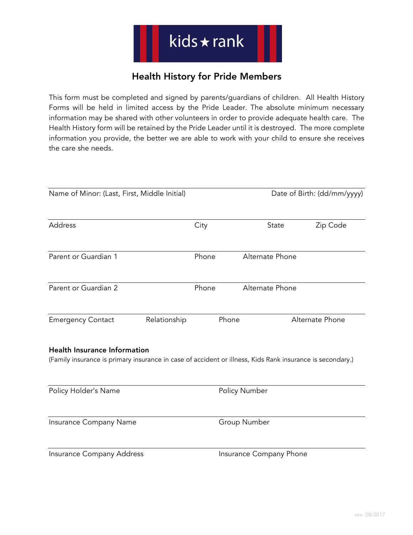## Health History for Pride Members

This form must be completed and signed by parents/guardians of children. All Health History Forms will be held in limited access by the Pride Leader. The absolute minimum necessary information may be shared with other volunteers in order to provide adequate health care. The Health History form will be retained by the Pride Leader until it is destroyed. The more complete information you provide, the better we are able to work with your child to ensure she receives the care she needs.

| Name of Minor: (Last, First, Middle Initial)                                                                                                     |              |       | Date of Birth: (dd/mm/yyyy) |                 |
|--------------------------------------------------------------------------------------------------------------------------------------------------|--------------|-------|-----------------------------|-----------------|
| Address                                                                                                                                          |              | City  | State                       | Zip Code        |
| Parent or Guardian 1                                                                                                                             |              | Phone | Alternate Phone             |                 |
| Parent or Guardian 2                                                                                                                             |              | Phone | Alternate Phone             |                 |
| <b>Emergency Contact</b>                                                                                                                         | Relationship |       | Phone                       | Alternate Phone |
| <b>Health Insurance Information</b><br>(Family insurance is primary insurance in case of accident or illness, Kids Rank insurance is secondary.) |              |       |                             |                 |
| Policy Holder's Name                                                                                                                             |              |       | Policy Number               |                 |
| Insurance Company Name                                                                                                                           |              |       | Group Number                |                 |
| Insurance Company Address                                                                                                                        |              |       | Insurance Company Phone     |                 |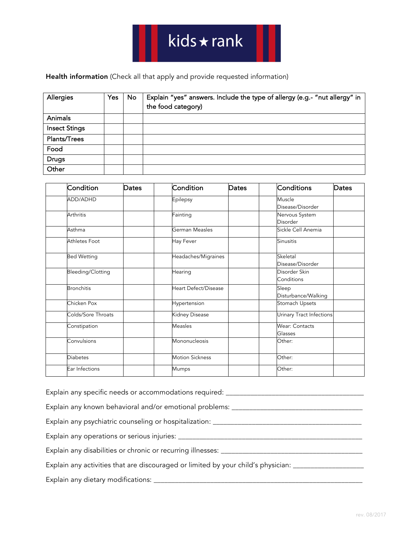Health information (Check all that apply and provide requested information)

| Allergies            | Yes | <b>No</b> | Explain "yes" answers. Include the type of allergy (e.g.- "nut allergy" in<br>the food category) |
|----------------------|-----|-----------|--------------------------------------------------------------------------------------------------|
| Animals              |     |           |                                                                                                  |
| <b>Insect Stings</b> |     |           |                                                                                                  |
| Plants/Trees         |     |           |                                                                                                  |
| Food                 |     |           |                                                                                                  |
| <b>Drugs</b>         |     |           |                                                                                                  |
| Other                |     |           |                                                                                                  |

| Condition            | <b>Dates</b> | Condition                   | Dates          | Conditions<br>Dates               |  |
|----------------------|--------------|-----------------------------|----------------|-----------------------------------|--|
| ADD/ADHD             |              | Epilepsy                    |                | Muscle<br>Disease/Disorder        |  |
| <b>Arthritis</b>     |              | Fainting                    |                | Nervous System<br><b>Disorder</b> |  |
| Asthma               |              | German Measles              |                | Sickle Cell Anemia                |  |
| <b>Athletes Foot</b> |              | Hay Fever                   |                | Sinusitis                         |  |
| <b>Bed Wetting</b>   |              | Headaches/Migraines         |                | Skeletal<br>Disease/Disorder      |  |
| Bleeding/Clotting    |              | Hearing                     |                | Disorder Skin<br>Conditions       |  |
| <b>Bronchitis</b>    |              | <b>Heart Defect/Disease</b> |                | Sleep<br>Disturbance/Walking      |  |
| Chicken Pox          |              | Hypertension                | Stomach Upsets |                                   |  |
| Colds/Sore Throats   |              | Kidney Disease              |                | Urinary Tract Infections          |  |
| Constipation         |              | <b>Measles</b>              |                | <b>Wear: Contacts</b><br>Glasses  |  |
| Convulsions          |              | Mononucleosis               | Other:         |                                   |  |
| <b>Diabetes</b>      |              | <b>Motion Sickness</b>      |                | Other:                            |  |
| Ear Infections       |              | Mumps                       |                | Other:                            |  |

| Explain any specific needs or accommodations required: _____                           |
|----------------------------------------------------------------------------------------|
| Explain any known behavioral and/or emotional problems: ______                         |
| Explain any psychiatric counseling or hospitalization: ______                          |
| Explain any operations or serious injuries: ________                                   |
| Explain any disabilities or chronic or recurring illnesses: _____                      |
| Explain any activities that are discouraged or limited by your child's physician: ____ |
| Explain any dietary modifications: ________                                            |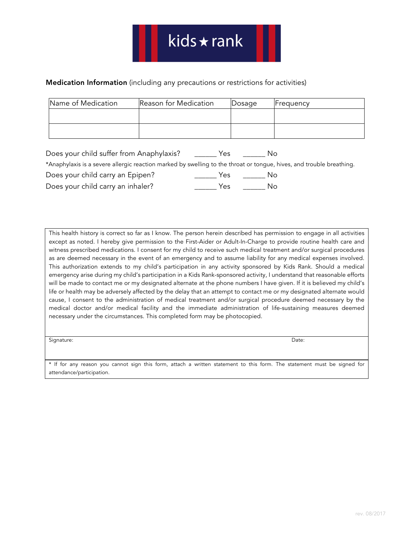### Medication Information (including any precautions or restrictions for activities)

| Name of Medication | Reason for Medication | Dosage | <b>H</b> requency |
|--------------------|-----------------------|--------|-------------------|
|                    |                       |        |                   |
|                    |                       |        |                   |
|                    |                       |        |                   |

| Does your child suffer from Anaphylaxis?                                                                             | Yes | NΩ  |  |
|----------------------------------------------------------------------------------------------------------------------|-----|-----|--|
| *Anaphylaxis is a severe allergic reaction marked by swelling to the throat or tongue, hives, and trouble breathing. |     |     |  |
| Does your child carry an Epipen?                                                                                     | Yes | No. |  |
| Does your child carry an inhaler?                                                                                    | Yes | Nο  |  |

This health history is correct so far as I know. The person herein described has permission to engage in all activities except as noted. I hereby give permission to the First-Aider or Adult-In-Charge to provide routine health care and witness prescribed medications. I consent for my child to receive such medical treatment and/or surgical procedures as are deemed necessary in the event of an emergency and to assume liability for any medical expenses involved. This authorization extends to my child's participation in any activity sponsored by Kids Rank. Should a medical emergency arise during my child's participation in a Kids Rank-sponsored activity, I understand that reasonable efforts will be made to contact me or my designated alternate at the phone numbers I have given. If it is believed my child's life or health may be adversely affected by the delay that an attempt to contact me or my designated alternate would cause, I consent to the administration of medical treatment and/or surgical procedure deemed necessary by the medical doctor and/or medical facility and the immediate administration of life-sustaining measures deemed necessary under the circumstances. This completed form may be photocopied.

Signature: Date:

\* If for any reason you cannot sign this form, attach a written statement to this form. The statement must be signed for attendance/participation.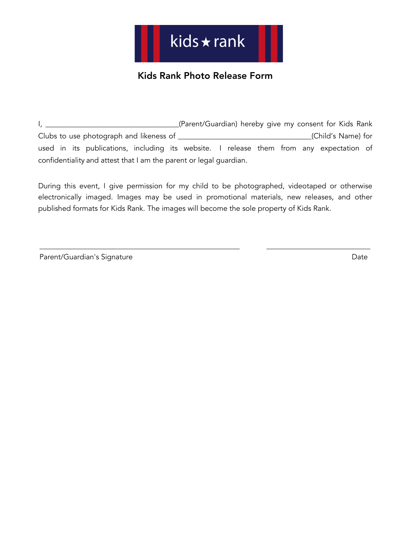## Kids Rank Photo Release Form

I, \_\_\_\_\_\_\_\_\_\_\_\_\_\_\_\_\_\_\_\_\_\_\_\_\_\_\_\_\_\_\_\_\_(Parent/Guardian) hereby give my consent for Kids Rank Clubs to use photograph and likeness of \_\_\_\_\_\_\_\_\_\_\_\_\_\_\_\_\_\_\_\_\_\_\_\_\_\_\_\_\_\_\_\_\_\_\_\_(Child's Name) for used in its publications, including its website. I release them from any expectation of confidentiality and attest that I am the parent or legal guardian.

During this event, I give permission for my child to be photographed, videotaped or otherwise electronically imaged. Images may be used in promotional materials, new releases, and other published formats for Kids Rank. The images will become the sole property of Kids Rank.

\_\_\_\_\_\_\_\_\_\_\_\_\_\_\_\_\_\_\_\_\_\_\_\_\_\_\_\_\_\_\_\_\_\_\_\_\_\_\_\_\_\_\_\_\_\_\_\_\_\_\_\_\_\_ \_\_\_\_\_\_\_\_\_\_\_\_\_\_\_\_\_\_\_\_\_\_\_\_\_\_\_\_

| Parent/Guardian's Signature | Date |
|-----------------------------|------|
|-----------------------------|------|